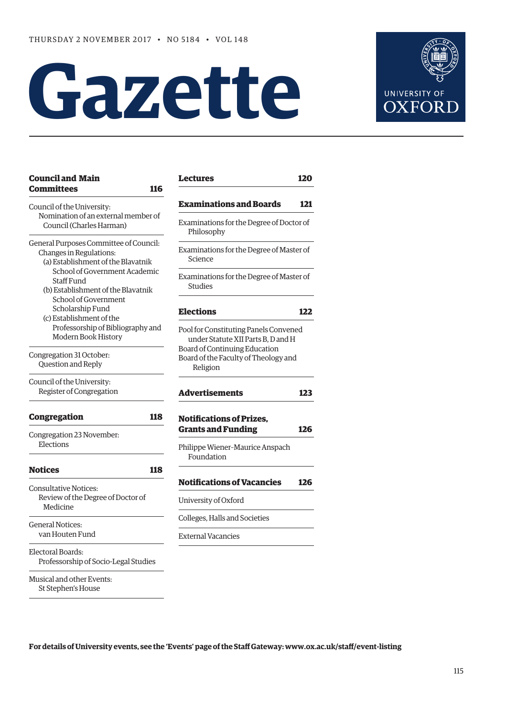# **Gazette**



| <b>Council and Main</b><br><b>Committees</b><br>116                                                                                                                                          | <b>Lectures</b>                                                                                              | 120 |
|----------------------------------------------------------------------------------------------------------------------------------------------------------------------------------------------|--------------------------------------------------------------------------------------------------------------|-----|
| Council of the University:                                                                                                                                                                   | <b>Examinations and Boards</b>                                                                               | 121 |
| Nomination of an external member of<br>Council (Charles Harman)                                                                                                                              | Examinations for the Degree of Doctor of<br>Philosophy                                                       |     |
| General Purposes Committee of Council:<br>Changes in Regulations:<br>(a) Establishment of the Blavatnik<br>School of Government Academic<br>Staff Fund<br>(b) Establishment of the Blavatnik | Examinations for the Degree of Master of<br>Science                                                          |     |
|                                                                                                                                                                                              | Examinations for the Degree of Master of<br>Studies                                                          |     |
| School of Government<br>Scholarship Fund<br>(c) Establishment of the                                                                                                                         | <b>Elections</b>                                                                                             | 122 |
| Professorship of Bibliography and<br>Modern Book History                                                                                                                                     | Pool for Constituting Panels Convened<br>under Statute XII Parts B, D and H<br>Board of Continuing Education |     |
| Congregation 31 October:<br>Question and Reply                                                                                                                                               | Board of the Faculty of Theology and<br>Religion                                                             |     |
| Council of the University:<br>Register of Congregation                                                                                                                                       | <b>Advertisements</b>                                                                                        | 123 |
| <b>Congregation</b><br>118                                                                                                                                                                   | <b>Notifications of Prizes,</b>                                                                              |     |
| Congregation 23 November:                                                                                                                                                                    | <b>Grants and Funding</b>                                                                                    | 126 |
| Elections                                                                                                                                                                                    | Philippe Wiener-Maurice Anspach<br>Foundation                                                                |     |
| <b>Notices</b><br>118                                                                                                                                                                        |                                                                                                              |     |
| <b>Consultative Notices:</b>                                                                                                                                                                 | <b>Notifications of Vacancies</b>                                                                            | 126 |
| Review of the Degree of Doctor of<br>Medicine                                                                                                                                                | University of Oxford                                                                                         |     |
| <b>General Notices:</b>                                                                                                                                                                      | Colleges, Halls and Societies                                                                                |     |
| van Houten Fund                                                                                                                                                                              | <b>External Vacancies</b>                                                                                    |     |
| Electoral Boards:<br>Professorship of Socio-Legal Studies                                                                                                                                    |                                                                                                              |     |
| Musical and other Events:<br>St Stephen's House                                                                                                                                              |                                                                                                              |     |

**For details of University events, see the 'Events' page of the Staf Gateway: [www.ox.ac.uk/staf/event-listing](http://www.ox.ac.uk/staff/event-listing)**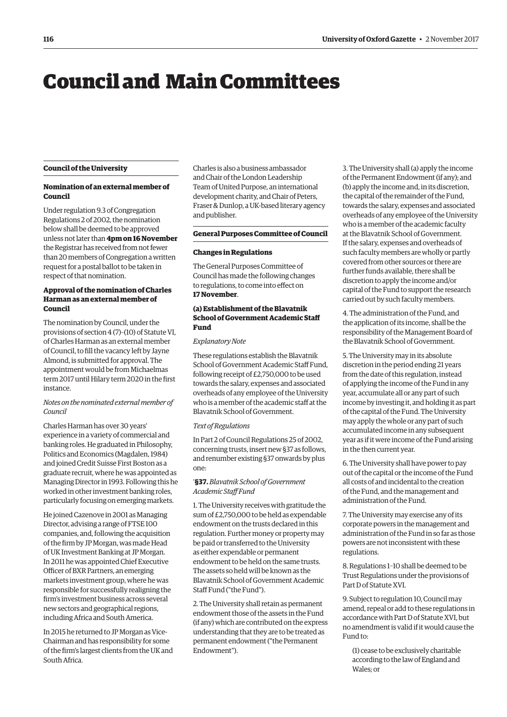# <span id="page-1-0"></span>Council and Main Committees

# **Council of the University**

# **Nomination of an external member of Council**

Under regulation 9.3 of Congregation Regulations 2 of 2002, the nomination below shall be deemed to be approved unless not later than **4pm on 16 November**  the Registrar has received from not fewer than 20 members of Congregation a written request for a postal ballot to be taken in respect of that nomination.

# **Approval of the nomination of Charles Harman as an external member of Council**

The nomination by Council, under the provisions of section 4 (7)–(10) of Statute VI, of Charles Harman as an external member of Council, to fll the vacancy left by Jayne Almond, is submitted for approval. The appointment would be from Michaelmas term 2017 until Hilary term 2020 in the frst instance.

# *Notes on the nominated external member of Council*

Charles Harman has over 30 years' experience in a variety of commercial and banking roles. He graduated in Philosophy, Politics and Economics (Magdalen, 1984) and joined Credit Suisse First Boston as a graduate recruit, where he was appointed as Managing Director in 1993. Following this he worked in other investment banking roles, particularly focusing on emerging markets.

He joined Cazenove in 2001 as Managing Director, advising a range of FTSE 100 companies, and, following the acquisition of the frm by JP Morgan, was made Head of UK Investment Banking at JP Morgan. In 2011 he was appointed Chief Executive Officer of BXR Partners, an emerging markets investment group, where he was responsible for successfully realigning the frm's investment business across several new sectors and geographical regions, including Africa and South America.

In 2015 he returned to JP Morgan as Vice-Chairman and has responsibility for some of the frm's largest clients from the UK and South Africa.

Charles is also a business ambassador and Chair of the London Leadership Team of United Purpose, an international development charity, and Chair of Peters, Fraser & Dunlop, a UK-based literary agency and publisher.

# **General Purposes Committee of Council**

# **Changes in Regulations**

The General Purposes Committee of Council has made the following changes to regulations, to come into efect on **17 November**.

# **(a) Establishment of the Blavatnik School of Government Academic Staff Fund**

# *Explanatory Note*

These regulations establish the Blavatnik School of Government Academic Staff Fund, following receipt of £2,750,000 to be used towards the salary, expenses and associated overheads of any employee of the University who is a member of the academic staff at the Blavatnik School of Government.

# *Text of Regulations*

In Part 2 of Council Regulations 25 of 2002, concerning trusts, insert new §37 as follows, and renumber existing §37 onwards by plus one:

# '**§37.** *Blavatnik School of Government Academic Staf Fund*

1. The University receives with gratitude the sum of £2,750,000 to be held as expendable endowment on the trusts declared in this regulation. Further money or property may be paid or transferred to the University as either expendable or permanent endowment to be held on the same trusts. The assets so held will be known as the Blavatnik School of Government Academic Staff Fund ("the Fund").

2. The University shall retain as permanent endowment those of the assets in the Fund (if any) which are contributed on the express understanding that they are to be treated as permanent endowment ("the Permanent Endowment").

3. The University shall (a) apply the income of the Permanent Endowment (if any); and (b) apply the income and, in its discretion, the capital of the remainder of the Fund, towards the salary, expenses and associated overheads of any employee of the University who is a member of the academic faculty at the Blavatnik School of Government. If the salary, expenses and overheads of such faculty members are wholly or partly covered from other sources or there are further funds available, there shall be discretion to apply the income and/or capital of the Fund to support the research carried out by such faculty members.

4. The administration of the Fund, and the application of its income, shall be the responsibility of the Management Board of the Blavatnik School of Government.

5. The University may in its absolute discretion in the period ending 21 years from the date of this regulation, instead of applying the income of the Fund in any year, accumulate all or any part of such income by investing it, and holding it as part of the capital of the Fund. The University may apply the whole or any part of such accumulated income in any subsequent year as if it were income of the Fund arising in the then current year.

6. The University shall have power to pay out of the capital or the income of the Fund all costs of and incidental to the creation of the Fund, and the management and administration of the Fund.

7. The University may exercise any of its corporate powers in the management and administration of the Fund in so far as those powers are not inconsistent with these regulations.

8. Regulations 1–10 shall be deemed to be Trust Regulations under the provisions of Part D of Statute XVI.

9. Subject to regulation 10, Council may amend, repeal or add to these regulations in accordance with Part D of Statute XVI, but no amendment is valid if it would cause the Fund to:

(1) cease to be exclusively charitable according to the law of England and Wales; or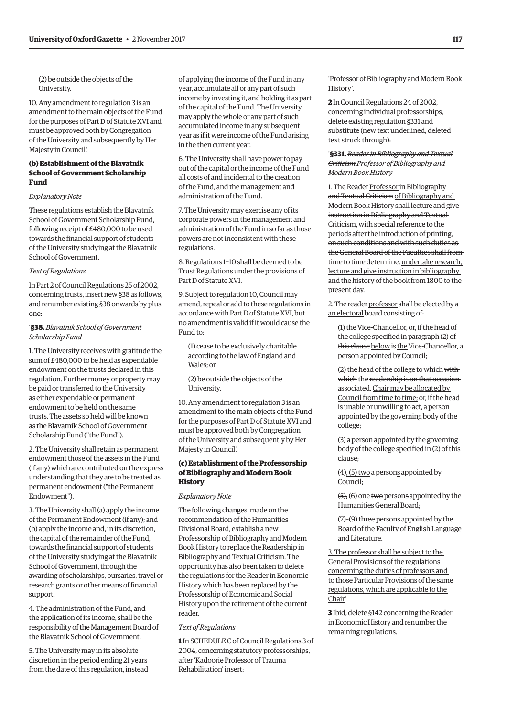(2) be outside the objects of the University.

10. Any amendment to regulation 3 is an amendment to the main objects of the Fund for the purposes of Part D of Statute XVI and must be approved both by Congregation of the University and subsequently by Her Majesty in Council.'

# **(b) Establishment of the Blavatnik School of Government Scholarship Fund**

# *Explanatory Note*

These regulations establish the Blavatnik School of Government Scholarship Fund, following receipt of £480,000 to be used towards the fnancial support of students of the University studying at the Blavatnik School of Government.

# *Text of Regulations*

In Part 2 of Council Regulations 25 of 2002, concerning trusts, insert new §38 as follows, and renumber existing §38 onwards by plus one:

# '**§38.** *Blavatnik School of Government Scholarship Fund*

1. The University receives with gratitude the sum of £480,000 to be held as expendable endowment on the trusts declared in this regulation. Further money or property may be paid or transferred to the University as either expendable or permanent endowment to be held on the same trusts. The assets so held will be known as the Blavatnik School of Government Scholarship Fund ("the Fund").

2. The University shall retain as permanent endowment those of the assets in the Fund (if any) which are contributed on the express understanding that they are to be treated as permanent endowment ("the Permanent Endowment").

3. The University shall (a) apply the income of the Permanent Endowment (if any); and (b) apply the income and, in its discretion, the capital of the remainder of the Fund, towards the fnancial support of students of the University studying at the Blavatnik School of Government, through the awarding of scholarships, bursaries, travel or research grants or other means of fnancial support.

4. The administration of the Fund, and the application of its income, shall be the responsibility of the Management Board of the Blavatnik School of Government.

5. The University may in its absolute discretion in the period ending 21 years from the date of this regulation, instead

of applying the income of the Fund in any year, accumulate all or any part of such income by investing it, and holding it as part of the capital of the Fund. The University may apply the whole or any part of such accumulated income in any subsequent year as if it were income of the Fund arising in the then current year.

6. The University shall have power to pay out of the capital or the income of the Fund all costs of and incidental to the creation of the Fund, and the management and administration of the Fund.

7. The University may exercise any of its corporate powers in the management and administration of the Fund in so far as those powers are not inconsistent with these regulations.

8. Regulations 1–10 shall be deemed to be Trust Regulations under the provisions of Part D of Statute XVI.

9. Subject to regulation 10, Council may amend, repeal or add to these regulations in accordance with Part D of Statute XVI, but no amendment is valid if it would cause the Fund to:

(1) cease to be exclusively charitable according to the law of England and Wales; or

(2) be outside the objects of the University.

10. Any amendment to regulation 3 is an amendment to the main objects of the Fund for the purposes of Part D of Statute XVI and must be approved both by Congregation of the University and subsequently by Her Majesty in Council.'

# **(c) Establishment of the Professorship of Bibliography and Modern Book History**

# *Explanatory Note*

The following changes, made on the recommendation of the Humanities Divisional Board, establish a new Professorship of Bibliography and Modern Book History to replace the Readership in Bibliography and Textual Criticism. The opportunity has also been taken to delete the regulations for the Reader in Economic History which has been replaced by the Professorship of Economic and Social History upon the retirement of the current reader

# *Text of Regulations*

**1** In SCHEDULE C of Council Regulations 3 of 2004, concerning statutory professorships, after 'Kadoorie Professor of Trauma Rehabilitation' insert:

'Professor of Bibliography and Modern Book History'.

**2** In Council Regulations 24 of 2002, concerning individual professorships, delete existing regulation §331 and substitute (new text underlined, deleted text struck through):

'**§331.** *Reader in Bibliography and Textual Criticism Professor of Bibliography and Modern Book History* 

1. The Reader Professor in Bibliography and Textual Criticism of Bibliography and Modern Book History shall lecture and give instruction in Bibliography and Textual Criticism, with special reference to the periods after the introduction of printing, on such conditions and with such duties as the General Board of the Faculties shall from time to time determine. undertake research, lecture and give instruction in bibliography and the history of the book from 1800 to the present day.

2. The reader professor shall be elected by a an electoral board consisting of:

(1) the Vice-Chancellor, or, if the head of the college specifed in paragraph (2) of this clause below is the Vice-Chancellor, a person appointed by Council;

(2) the head of the college to which with which the readership is on that occasion associated, Chair may be allocated by Council from time to time; or, if the head is unable or unwilling to act, a person appointed by the governing body of the college;

(3) a person appointed by the governing body of the college specifed in (2) of this clause;

(4), (5) two a persons appointed by Council;

(5), (6) one two persons appointed by the Humanities General Board;

(7)–(9) three persons appointed by the Board of the Faculty of English Language and Literature.

3. The professor shall be subject to the General Provisions of the regulations concerning the duties of professors and to those Particular Provisions of the same regulations, which are applicable to the Chair.'

**3** Ibid, delete §142 concerning the Reader in Economic History and renumber the remaining regulations.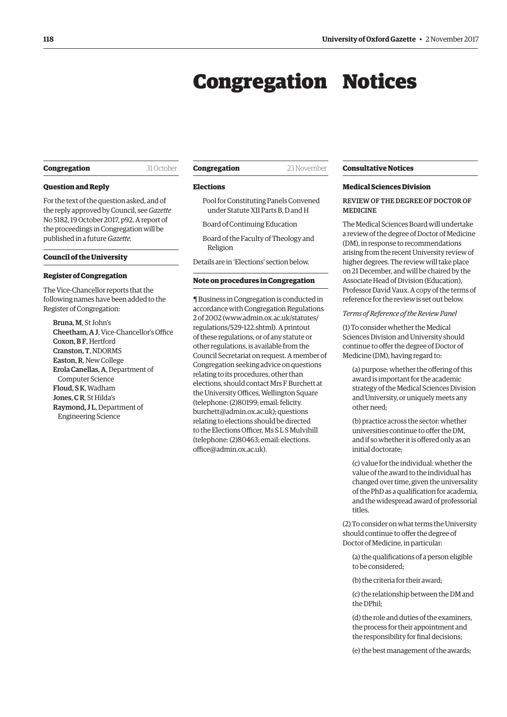# Congregation Notices

# <span id="page-3-0"></span>**Congregation** 31 October

**Question and Reply** 

For the text of the question asked, and of the reply approved by Council, see *Gazette*  No 5182, 19 October 2017, p92. A report of the proceedings in Congregation will be published in a future *Gazette.* 

# **Council of the University**

# **Register of Congregation**

The Vice-Chancellor reports that the following names have been added to the Register of Congregation:

Bruna, M, St John's Cheetham, A J, Vice-Chancellor's Office Coxon, B.F. Hertford Cranston, T, NDORMS Easton, R, New College Erola Canellas, A, Department of Computer Science Floud, S K, Wadham Jones, C R, St Hilda's Raymond, JL, Department of Engineering Science

# **Congregation** 23 November

# **Elections**

- Pool for Constituting Panels Convened under Statute XII Parts B, D and H
- Board of Continuing Education
- Board of the Faculty of Theology and Religion
- Details are in 'Elections' section below.

# **Note on procedures in Congregation**

¶ Business in Congregation is conducted in accordance with Congregation Regulations 2 of 2002 [\(www.admin.ox.ac.uk/statutes/](http://www.admin.ox.ac.uk/statutes/regulations/529-122.shtml)  [regulations/529-122.shtml\). A p](http://www.admin.ox.ac.uk/statutes/regulations/529-122.shtml)rintout of these regulations, or of any statute or other regulations, is available from the Council Secretariat on request. A member of Congregation seeking advice on questions relating to its procedures, other than elections, should contact Mrs F Burchett at the University Offices, Wellington Square (telephone: (2)80199; email: felicity. [burchett@admin.ox.ac.uk\); questions](mailto:felicity.burchett@admin.ox.ac.uk)  relating to elections should be directed to the Elections Officer. Ms SL S Mulvihill [\(telephone: \(2\)80463; email: elections.](mailto:elections.office@admin.ox.ac.uk)  office@admin.ox.ac.uk).

# **Consultative Notices**

# **Medical Sciences Division**

# REVIEW OF THE DEGREE OF DOCTOR OF MEDICINE

The Medical Sciences Board will undertake a review of the degree of Doctor of Medicine (DM), in response to recommendations arising from the recent University review of higher degrees. The review will take place on 21 December, and will be chaired by the Associate Head of Division (Education), Professor David Vaux. A copy of the terms of reference for the review is set out below.

# *Terms of Reference of the Review Panel*

(1) To consider whether the Medical Sciences Division and University should continue to offer the degree of Doctor of Medicine (DM), having regard to:

(a) purpose: whether the ofering of this award is important for the academic strategy of the Medical Sciences Division and University, or uniquely meets any other need;

(b) practice across the sector: whether universities continue to offer the DM. and if so whether it is ofered only as an initial doctorate;

(c) value for the individual: whether the value of the award to the individual has changed over time, given the universality of the PhD as a qualifcation for academia, and the widespread award of professorial titles.

(2) To consider on what terms the University should continue to offer the degree of Doctor of Medicine, in particular:

- (a) the qualifcations of a person eligible to be considered;
- (b) the criteria for their award;

(c) the relationship between the DM and the DPhil;

(d) the role and duties of the examiners, the process for their appointment and the responsibility for final decisions;

(e) the best management of the awards;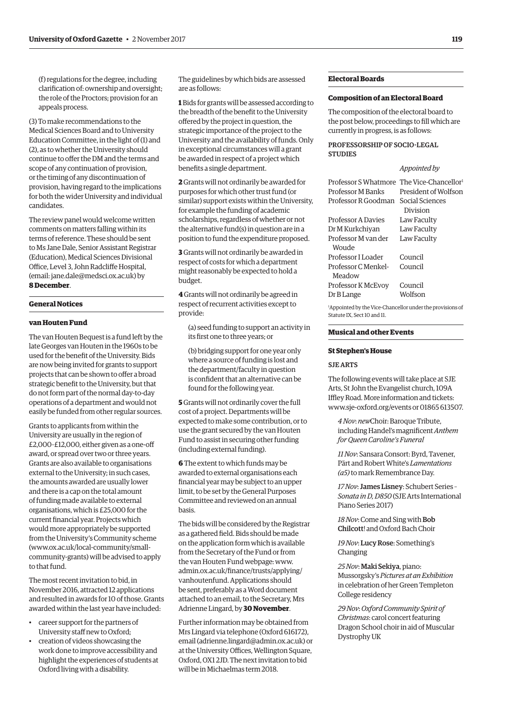(f) regulations for the degree, including clarifcation of: ownership and oversight; the role of the Proctors; provision for an appeals process.

(3) To make recommendations to the Medical Sciences Board and to University Education Committee, in the light of (1) and (2), as to whether the University should continue to offer the DM and the terms and scope of any continuation of provision, or the timing of any discontinuation of provision, having regard to the implications for both the wider University and individual candidates.

The review panel would welcome written comments on matters falling within its terms of reference. These should be sent to Ms Jane Dale, Senior Assistant Registrar (Education), Medical Sciences Divisional Office, Level 3, John Radcliffe Hospital, (email: [jane.dale@medsci.ox.ac.uk\) by](mailto:jane.dale@medsci.ox.ac.uk) **8 December**.

# **General Notices**

# **van Houten Fund**

The van Houten Bequest is a fund left by the late Georges van Houten in the 1960s to be used for the beneft of the University. Bids are now being invited for grants to support projects that can be shown to offer a broad strategic beneft to the University, but that do not form part of the normal day-to-day operations of a department and would not easily be funded from other regular sources.

Grants to applicants from within the University are usually in the region of £2,000–£12,000, either given as a one-of award, or spread over two or three years. Grants are also available to organisations external to the University; in such cases, the amounts awarded are usually lower and there is a cap on the total amount of funding made available to external organisations, which is £25,000 for the current fnancial year. Projects which would more appropriately be supported from the University's Community scheme (www.ox.ac.uk/local-community/small[community-grants\) will be advised to apply](www.ox.ac.uk/local-community/small-community-grants)  to that fund.

The most recent invitation to bid, in November 2016, attracted 12 applications and resulted in awards for 10 of those. Grants awarded within the last year have included:

- career support for the partners of University staff new to Oxford:
- creation of videos showcasing the work done to improve accessibility and highlight the experiences of students at Oxford living with a disability.

The guidelines by which bids are assessed are as follows:

**1** Bids for grants will be assessed according to the breadth of the beneft to the University ofered by the project in question, the strategic importance of the project to the University and the availability of funds. Only in exceptional circumstances will a grant be awarded in respect of a project which benefts a single department.

**2** Grants will not ordinarily be awarded for purposes for which other trust fund (or similar) support exists within the University, for example the funding of academic scholarships, regardless of whether or not the alternative fund(s) in question are in a position to fund the expenditure proposed.

**3** Grants will not ordinarily be awarded in respect of costs for which a department might reasonably be expected to hold a budget.

**4** Grants will not ordinarily be agreed in respect of recurrent activities except to provide:

(a) seed funding to support an activity in its frst one to three years; or

(b) bridging support for one year only where a source of funding is lost and the department/faculty in question is confdent that an alternative can be found for the following year.

**5** Grants will not ordinarily cover the full cost of a project. Departments will be expected to make some contribution, or to use the grant secured by the van Houten Fund to assist in securing other funding (including external funding).

**6** The extent to which funds may be awarded to external organisations each fnancial year may be subject to an upper limit, to be set by the General Purposes Committee and reviewed on an annual basis.

The bids will be considered by the Registrar as a gathered feld. Bids should be made on the application form which is available from the Secretary of the Fund or from the van Houten Fund webpage: [www.](http://www.admin.ox.ac.uk/finance/trusts/applying/)  [admin.ox.ac.uk/fnance/trusts/applying/](http://www.admin.ox.ac.uk/finance/trusts/applying/)  vanhoutenfund. Applications should be sent, preferably as a Word document attached to an email, to the Secretary, Mrs Adrienne Lingard, by **30 November**.

Further information may be obtained from Mrs Lingard via telephone (Oxford 616172), email ([adrienne.lingard@admin.ox.ac.uk\) or](mailto:adrienne.lingard@admin.ox.ac.uk) at the University Offices, Wellington Square, Oxford, OX1 2JD. The next invitation to bid will be in Michaelmas term 2018.

# **Electoral Boards**

# **Composition of an Electoral Board**

The composition of the electoral board to the post below, proceedings to fll which are currently in progress, is as follows:

# PROFESSORSHIP OF SOCIO-LEGAL **STUDIES**

# *Appointed by*

| Professor S Whatmore The Vice-Chancellor <sup>1</sup> |                      |
|-------------------------------------------------------|----------------------|
| Professor M Banks                                     | President of Wolfson |
| Professor R Goodman                                   | Social Sciences      |
|                                                       | Division             |
| Professor A Davies                                    | Law Faculty          |
| Dr M Kurkchiyan                                       | Law Faculty          |
| Professor M van der                                   | Law Faculty          |
| Woude                                                 |                      |
| Professor I Loader                                    | Council              |
| Professor C Menkel-                                   | Council              |
| Meadow                                                |                      |
| Professor K McEvoy                                    | Council              |
| Dr B Lange                                            | Wolfson              |
|                                                       |                      |

1 Appointed by the Vice-Chancellor under the provisions of Statute IX, Sect 10 and 11.

# **Musical and other Events**

# **St Stephen's House**

# SJE ARTS

The following events will take place at SJE Arts, St John the Evangelist church, 109A Iffley Road. More information and tickets: [www.sje-oxford.org/events or](http://www.sje-oxford.org/events) 01865 613507.

*4 Nov*: *new*Choir: Baroque Tribute, including Handel's magnifcent *Anthem for Queen Caroline's Funeral* 

*11 Nov*: Sansara Consort: Byrd, Tavener, Pärt and Robert White's *Lamentations (a5)* to mark Remembrance Day.

*17 Nov*: James Lisney: Schubert Series – *Sonata in D, D850* (SJE Arts International Piano Series 2017)

*18 Nov*: Come and Sing with Bob Chilcott! and Oxford Bach Choir

*19 Nov*: Lucy Rose: Something's Changing

*25 Nov*: Maki Sekiya, piano: Mussorgsky's *Pictures at an Exhibition*  in celebration of her Green Templeton College residency

*29 Nov*: *Oxford Community Spirit of Christmas*: carol concert featuring Dragon School choir in aid of Muscular Dystrophy UK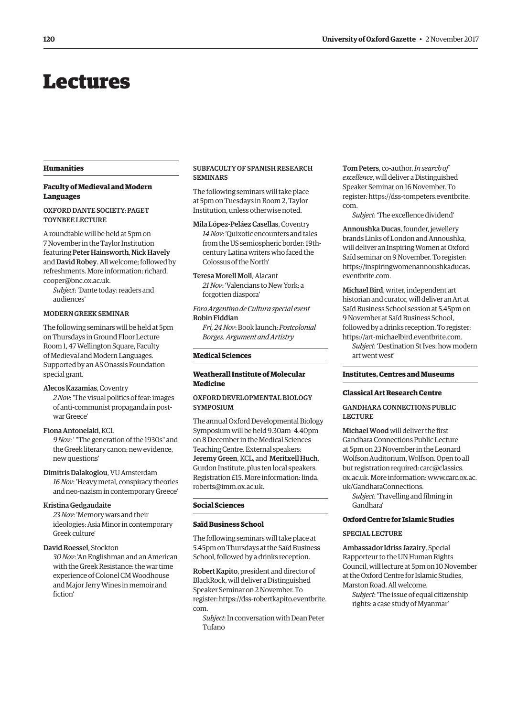# <span id="page-5-0"></span>Lectures

# **Humanities**

# **Faculty of Medieval and Modern Languages**

# OXFORD DANTE SOCIETY: PAGET TOYNBEE LECTURE

A roundtable will be held at 5pm on 7 November in the Taylor Institution featuring Peter Hainsworth, Nick Havely and David Robey. All welcome; followed by [refreshments. More information: richard.](mailto:richard.cooper@bnc.ox.ac.uk)  cooper@bnc.ox.ac.uk.

*Subject*: 'Dante today: readers and audiences'

# MODERN GREEK SEMINAR

The following seminars will be held at 5pm on Thursdays in Ground Floor Lecture Room 1, 47 Wellington Square, Faculty of Medieval and Modern Languages. Supported by an AS Onassis Foundation special grant.

## Alecos Kazamias, Coventry

*2 Nov*: 'The visual politics of fear: images of anti-communist propaganda in postwar Greece'

# Fiona Antonelaki, KCL

*9 Nov*: ' "The generation of the 1930s" and the Greek literary canon: new evidence, new questions'

# Dimitris Dalakoglou, VU Amsterdam

*16 Nov*: 'Heavy metal, conspiracy theories and neo-nazism in contemporary Greece'

# Kristina Gedgaudaite

*23 Nov*: 'Memory wars and their ideologies: Asia Minor in contemporary Greek culture'

# David Roessel, Stockton

*30 Nov*: 'An Englishman and an American with the Greek Resistance: the war time experience of Colonel CM Woodhouse and Major Jerry Wines in memoir and fiction'

# SUBFACULTY OF SPANISH RESEARCH SEMINARS

The following seminars will take place at 5pm on Tuesdays in Room 2, Taylor Institution, unless otherwise noted.

Mila López-Peláez Casellas, Coventry *14 Nov*: 'Quixotic encounters and tales from the US semiospheric border: 19thcentury Latina writers who faced the Colossus of the North'

# Teresa Morell Moll, Alacant

*21 Nov*: 'Valencians to New York: a forgotten diaspora'

*Foro Argentino de Cultura special event*  Robin Fiddian

*Fri, 24 Nov*: Book launch: *Postcolonial Borges. Argument and Artistry* 

# **Medical Sciences**

# **Weatherall Institute of Molecular Medicine**

# OXFORD DEVELOPMENTAL BIOLOGY **SYMPOSIUM**

The annual Oxford Developmental Biology Symposium will be held 9.30am–4.40pm on 8 December in the Medical Sciences Teaching Centre. External speakers: Jeremy Green, KCL, and Meritxell Huch, Gurdon Institute, plus ten local speakers. [Registration £15. More information: linda.](mailto:linda.roberts@imm.ox.ac.uk)  roberts@imm.ox.ac.uk.

# **Social Sciences**

# **Saïd Business School**

The following seminars will take place at 5.45pm on Thursdays at the Saïd Business School, followed by a drinks reception.

Robert Kapito, president and director of BlackRock, will deliver a Distinguished Speaker Seminar on 2 November. To [register: https://dss-robertkapito.eventbrite.](https://dss-robertkapito.eventbrite.com)  com.

*Subject*: In conversation with Dean Peter Tufano

Tom Peters, co-author, *In search of excellence*, will deliver a Distinguished Speaker Seminar on 16 November. To [register: https://dss-tompeters.eventbrite.](https://dss.tompeters.eventrbrite.com)  com.

*Subject*: 'The excellence dividend'

Annoushka Ducas, founder, jewellery brands Links of London and Annoushka, will deliver an Inspiring Women at Oxford Saïd seminar on 9 November. To register: [https://inspiringwomenannoushkaducas.](https:inspiringwomenannoushkaducas.eventbrite.com)  eventbrite.com.

Michael Bird, writer, independent art historian and curator, will deliver an Art at Saïd Business School session at 5.45pm on 9 November at Saïd Business School, followed by a drinks reception. To register: [https://art-michaelbird.eventbrite.com.](https://art-michaelbird.eventbrite.com)  *Subject*: 'Destination St Ives: how modern

art went west'

# **Institutes, Centres and Museums**

# **Classical Art Research Centre**

# GANDHARA CONNECTIONS PUBLIC **LECTURE**

Michael Wood will deliver the frst Gandhara Connections Public Lecture at 5pm on 23 November in the Leonard Wolfson Auditorium, Wolfson. Open to all but registration requ[ired: carc@classics.](mailto:carc@classics.ox.ac.uk)  ox.ac.uk. More info[rmation: www.carc.ox.ac.](www.carc.ox.ac.uk/GandharaConnections)  uk/GandharaConnections.

*Subject*: 'Travelling and flming in Gandhara'

# **Oxford Centre for Islamic Studies**

# SPECIAL LECTURE

Ambassador Idriss Jazairy, Special Rapporteur to the UN Human Rights Council, will lecture at 5pm on 10 November at the Oxford Centre for Islamic Studies, Marston Road. All welcome.

*Subject*: 'The issue of equal citizenship rights: a case study of Myanmar'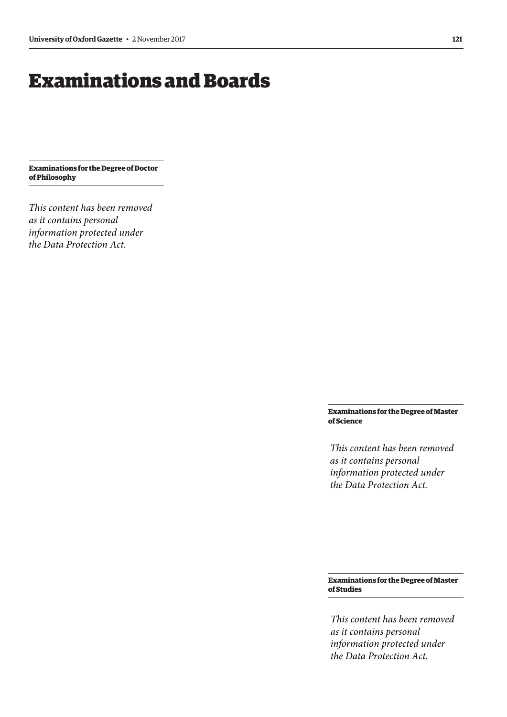# <span id="page-6-0"></span>Examinations and Boards

**Examinations for the Degree of Doctor of Philosophy** 

*This content has been removed as it contains personal information protected under the Data Protection Act.*

> **Examinations for the Degree of Master of Science**

*This content has been removed as it contains personal information protected under the Data Protection Act.*

**Examinations for the Degree of Master of Studies** 

*This content has been removed as it contains personal information protected under the Data Protection Act.*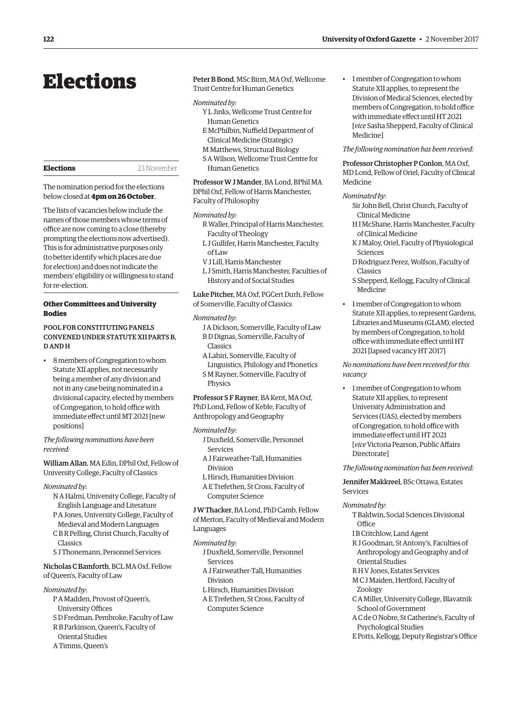# <span id="page-7-0"></span>Elections

**Elections** 23 November

The nomination period for the elections below closed at **4pm on 26 October**.

The lists of vacancies below include the names of those members whose terms of office are now coming to a close (thereby prompting the elections now advertised). This is for administrative purposes only (to better identify which places are due for election) and does not indicate the members' eligibility or willingness to stand for re-election.

# **Other Committees and University Bodies**

# POOL FOR CONSTITUTING PANELS CONVENED UNDER STATUTE XII PARTS B, D AND H

• 8 members of Congregation to whom Statute XII applies, not necessarily being a member of any division and not in any case being nominated in a divisional capacity, elected by members of Congregation, to hold office with immediate efect until MT 2021 [new positions]

*The following nominations have been received:* 

William Allan, MA Edin, DPhil Oxf, Fellow of University College, Faculty of Classics

- *Nominated by:* 
	- N A Halmi, University College, Faculty of English Language and Literature
	- P A Jones, University College, Faculty of Medieval and Modern Languages
	- C B R Pelling, Christ Church, Faculty of Classics
	- S J Thonemann, Personnel Services

Nicholas C Bamforth, BCL MA Oxf, Fellow of Queen's, Faculty of Law

# *Nominated by*:

- P A Madden, Provost of Queen's, University Offices
- S D Fredman, Pembroke, Faculty of Law
- R B Parkinson, Queen's, Faculty of
- Oriental Studies
- A Timms, Queen's

Peter B Bond, MSc Birm, MA Oxf, Wellcome Trust Centre for Human Genetics

# *Nominated by:*

- Y L Jinks, Wellcome Trust Centre for Human Genetics
- E McPhilbin, Nuffield Department of Clinical Medicine (Strategic)
- M Matthews, Structural Biology S A Wilson, Wellcome Trust Centre for
- Human Genetics

Professor W J Mander, BA Lond, BPhil MA DPhil Oxf, Fellow of Harris Manchester, Faculty of Philosophy

## *Nominated by:*

- R Waller, Principal of Harris Manchester, Faculty of Theology
- L J Gullifer, Harris Manchester, Faculty  $off$  JW
- V J Lill, Harris Manchester
- L J Smith, Harris Manchester, Faculties of History and of Social Studies

Luke Pitcher, MA Oxf, PGCert Durh, Fellow of Somerville, Faculty of Classics

# *Nominated by*:

- J A Dickson, Somerville, Faculty of Law B D Dignas, Somerville, Faculty of Classics
- A Lahiri, Somerville, Faculty of
- Linguistics, Philology and Phonetics S M Rayner, Somerville, Faculty of Physics

Professor S F Rayner, BA Kent, MA Oxf, PhD Lond, Fellow of Keble, Faculty of Anthropology and Geography

## *Nominated by*:

- J Duxfeld, Somerville, Personnel Services
- A J Fairweather-Tall, Humanities Division
- L Hirsch, Humanities Division
- A E Trefethen, St Cross, Faculty of Computer Science

J W Thacker, BA Lond, PhD Camb, Fellow of Merton, Faculty of Medieval and Modern Languages

# *Nominated by*:

- J Duxfeld, Somerville, Personnel Services
- A J Fairweather-Tall, Humanities Division
- L Hirsch, Humanities Division
- A E Trefethen, St Cross, Faculty of Computer Science

• 1 member of Congregation to whom Statute XII applies, to represent the Division of Medical Sciences, elected by members of Congregation, to hold office with immediate efect until HT 2021 [*vice* Sasha Shepperd, Faculty of Clinical Medicine]

# *The following nomination has been received:*

Professor Christopher P Conlon, MA Oxf, MD Lond, Fellow of Oriel, Faculty of Clinical Medicine

# *Nominated by*:

- Sir John Bell, Christ Church, Faculty of Clinical Medicine
- H I McShane, Harris Manchester, Faculty of Clinical Medicine
- K J Maloy, Oriel, Faculty of Physiological Sciences
- D Rodriguez Perez, Wolfson, Faculty of Classics
- S Shepperd, Kellogg, Faculty of Clinical Medicine
- 1 member of Congregation to whom Statute XII applies, to represent Gardens, Libraries and Museums (GLAM), elected by members of Congregation, to hold office with immediate effect until HT 2021 [lapsed vacancy HT 2017]

*No nominations have been received for this vacancy* 

• 1 member of Congregation to whom Statute XII applies, to represent University Administration and Services (UAS), elected by members of Congregation, to hold office with immediate effect until HT 2021 [*vice* Victoria Pearson, Public Afairs Directorate]

*The following nomination has been received:* 

Jennifer Makkreel, BSc Ottawa, Estates Services

# *Nominated by:*

T Baldwin, Social Sciences Divisional Office

- I B Critchlow, Land Agent
- R J Goodman, St Antony's, Faculties of Anthropology and Geography and of Oriental Studies
- R H V Jones, Estates Services
- M C J Maiden, Hertford, Faculty of Zoology
- C A Miller, University College, Blavatnik School of Government
- A C de O Nobre, St Catherine's, Faculty of Psychological Studies
- E Potts, Kellogg, Deputy Registrar's Office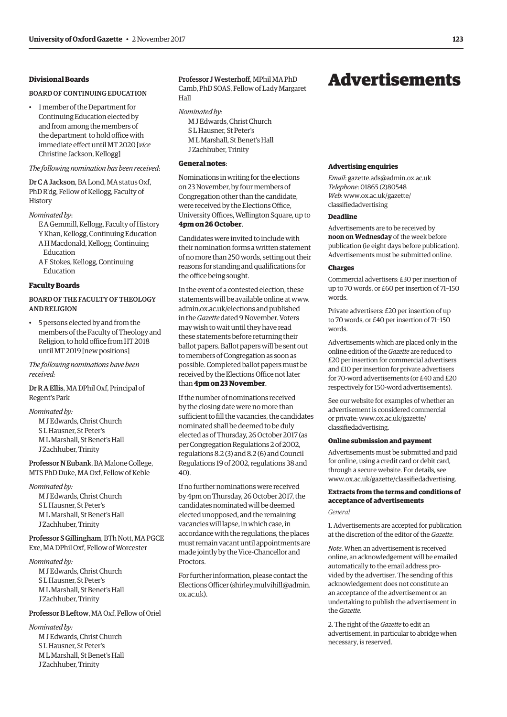# <span id="page-8-0"></span>**Divisional Boards**

# BOARD OF CONTINUING EDUCATION

• 1 member of the Department for Continuing Education elected by and from among the members of the department to hold office with immediate efect until MT 2020 [*vice*  Christine Jackson, Kellogg]

# *The following nomination has been received*:

Dr C A Jackson, BA Lond, MA status Oxf, PhD R'dg, Fellow of Kellogg, Faculty of History

# *Nominated by*:

- E A Gemmill, Kellogg, Faculty of History Y Khan, Kellogg, Continuing Education
- A H Macdonald, Kellogg, Continuing Education
- A F Stokes, Kellogg, Continuing Education

# **Faculty Boards**

# BOARD OF THE FACULTY OF THEOLOGY AND RELIGION

• 5 persons elected by and from the members of the Faculty of Theology and Religion, to hold office from HT 2018 until MT 2019 [new positions]

# *The following nominations have been received:*

# Dr R A Ellis, MA DPhil Oxf, Principal of Regent's Park

# *Nominated by:*

M J Edwards, Christ Church S L Hausner, St Peter's M L Marshall, St Benet's Hall J Zachhuber, Trinity

# Professor N Eubank, BA Malone College, MTS PhD Duke, MA Oxf, Fellow of Keble

*Nominated by:* 

M J Edwards, Christ Church S L Hausner, St Peter's M L Marshall, St Benet's Hall J Zachhuber, Trinity

# Professor S Gillingham, BTh Nott, MA PGCE Exe, MA DPhil Oxf, Fellow of Worcester

*Nominated by:*  M J Edwards, Christ Church S L Hausner, St Peter's M L Marshall, St Benet's Hall J Zachhuber, Trinity

# Professor B Leftow, MA Oxf, Fellow of Oriel

*Nominated by:*  M J Edwards, Christ Church S L Hausner, St Peter's M L Marshall, St Benet's Hall J Zachhuber, Trinity

# Professor J Westerhoff, MPhil MA PhD

Camb, PhD SOAS, Fellow of Lady Margaret Hall

# *Nominated by:*

M J Edwards, Christ Church S L Hausner, St Peter's M L Marshall, St Benet's Hall J Zachhuber, Trinity

# **General notes**:

Nominations in writing for the elections on 23 November, by four members of Congregation other than the candidate, were received by the Elections Office, University Offices, Wellington Square, up to **4pm on 26 October**.

Candidates were invited to include with their nomination forms a written statement of no more than 250 words, setting out their reasons for standing and qualifcations for the office being sought.

In the event of a contested election, these statements will be available online at [www.](http://www.admin.ox.ac.uk/elections)  [admin.ox.ac.uk/elections an](http://www.admin.ox.ac.uk/elections)d published in the *Gazette* dated 9 November. Voters may wish to wait until they have read these statements before returning their ballot papers. Ballot papers will be sent out to members of Congregation as soon as possible. Completed ballot papers must be received by the Elections Office not later than **4pm on 23 November**.

If the number of nominations received by the closing date were no more than sufficient to fill the vacancies, the candidates nominated shall be deemed to be duly elected as of Thursday, 26 October 2017 (as per Congregation Regulations 2 of 2002, regulations 8.2 (3) and 8.2 (6) and Council Regulations 19 of 2002, regulations 38 and  $40$ 

If no further nominations were received by 4pm on Thursday, 26 October 2017, the candidates nominated will be deemed elected unopposed, and the remaining vacancies will lapse, in which case, in accordance with the regulations, the places must remain vacant until appointments are made jointly by the Vice-Chancellor and Proctors.

For further information, please contact the Elections Officer (shirley.mulvihill@admin. [ox.ac.uk\).](mailto:shirley.mulvihill@admin.ox.ac.uk) 

# Advertisements

## **Advertising enquiries**

*Email*: [gazette.ads@admin.ox.ac.uk](mailto:gazette.ads@admin.ox.ac.uk)  *Telephone*: 01865 (2)80548 *Web*[: www.ox.ac.uk/gazette/](www.ox.ac.uk/gazette/classifiedadvertising)  classifedadvertising

# **Deadline**

Advertisements are to be received by **noon on Wednesday** of the week before publication (ie eight days before publication). Advertisements must be submitted online.

# **Charges**

Commercial advertisers: £30 per insertion of up to 70 words, or £60 per insertion of 71–150 words.

Private advertisers: £20 per insertion of up to 70 words, or £40 per insertion of 71–150 words.

Advertisements which are placed only in the online edition of the *Gazette* are reduced to £20 per insertion for commercial advertisers and £10 per insertion for private advertisers for 70-word advertisements (or £40 and £20 respectively for 150-word advertisements).

See our website for examples of whether an advertisement is considered commercial [or private: www.ox.ac.uk/gazette/](www.ox.ac.uk/gazette/classifiedadvertising)  classifedadvertising.

# **Online submission and payment**

Advertisements must be submitted and paid for online, using a credit card or debit card, through a secure website. For details, see [www.ox.ac.uk/gazette/classifedadvertising.](http://www.ox.ac.uk/gazette/classifiedadvertising) 

# **Extracts from the terms and conditions of acceptance of advertisements**

# *General*

1. Advertisements are accepted for publication at the discretion of the editor of the *Gazette*.

*Note*. When an advertisement is received online, an acknowledgement will be emailed automatically to the email address provided by the advertiser. The sending of this acknowledgement does not constitute an an acceptance of the advertisement or an undertaking to publish the advertisement in the *Gazette*.

2. The right of the *Gazette* to edit an advertisement, in particular to abridge when necessary, is reserved.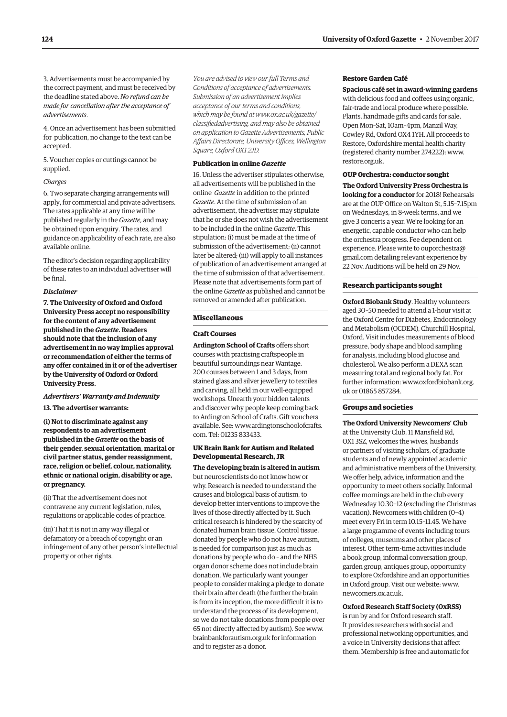3. Advertisements must be accompanied by the correct payment, and must be received by the deadline stated above. *No refund can be made for cancellation after the acceptance of advertisements*.

4. Once an advertisement has been submitted for publication, no change to the text can be accepted.

5. Voucher copies or cuttings cannot be supplied.

# *Charges*

6. Two separate charging arrangements will apply, for commercial and private advertisers. The rates applicable at any time will be published regularly in the *Gazette*, and may be obtained upon enquiry. The rates, and guidance on applicability of each rate, are also available online.

The editor's decision regarding applicability of these rates to an individual advertiser will be fnal.

# *Disclaimer*

**7. The University of Oxford and Oxford University Press accept no responsibility for the content of any advertisement published in the** *Gazette***. Readers should note that the inclusion of any advertisement in no way implies approval or recommendation of either the terms of any offer contained in it or of the advertiser by the University of Oxford or Oxford University Press.** 

# *Advertisers' Warranty and Indemnity*

**13. The advertiser warrants:** 

**(i) Not to discriminate against any respondents to an advertisement published in the** *Gazette* **on the basis of their gender, sexual orientation, marital or civil partner status, gender reassignment, race, religion or belief, colour, nationality, ethnic or national origin, disability or age, or pregnancy.** 

(ii) That the advertisement does not contravene any current legislation, rules, regulations or applicable codes of practice.

(iii) That it is not in any way illegal or defamatory or a breach of copyright or an infringement of any other person's intellectual property or other rights.

*You are advised to view our full Terms and Conditions of acceptance of advertisements. Submission of an advertisement implies acceptance of our terms and conditions, which may be found at www.ox.ac.uk/gazette/ [classifedadvertising, and may also be obtained](www.ox.ac.uk/gazette/classifiedadvertising)  on application to Gazette Advertisements, Public Affairs Directorate, University Offces, Wellington Square, Oxford OX1 2JD.* 

# **Publication in online** *Gazette*

16. Unless the advertiser stipulates otherwise, all advertisements will be published in the online *Gazette* in addition to the printed *Gazette*. At the time of submission of an advertisement, the advertiser may stipulate that he or she does not wish the advertisement to be included in the online *Gazette*. This stipulation: (i) must be made at the time of submission of the advertisement; (ii) cannot later be altered; (iii) will apply to all instances of publication of an advertisement arranged at the time of submission of that advertisement. Please note that advertisements form part of the online *Gazette* as published and cannot be removed or amended after publication.

## **Miscellaneous**

## **Craft Courses**

**Ardington School of Crafts** offers short courses with practising craftspeople in beautiful surroundings near Wantage. 200 courses between 1 and 3 days, from stained glass and silver jewellery to textiles and carving, all held in our well-equipped workshops. Unearth your hidden talents and discover why people keep coming back to Ardington School of Crafts. Gift vouchers [available. See: www.ardingtonschoolofcrafts.](www.ardingtonschoolofcrafts.com)  com. Tel: 01235 833433.

# **UK Brain Bank for Autism and Related Developmental Research, JR**

**The developing brain is altered in autism**  but neuroscientists do not know how or why. Research is needed to understand the causes and biological basis of autism, to develop better interventions to improve the lives of those directly affected by it. Such critical research is hindered by the scarcity of donated human brain tissue. Control tissue, donated by people who do not have autism, is needed for comparison just as much as donations by people who do – and the NHS organ donor scheme does not include brain donation. We particularly want younger people to consider making a pledge to donate their brain after death (the further the brain is from its inception, the more difficult it is to understand the process of its development, so we do not take donations from people over 65 not directly affected by autism). See [www.](http://www.brainbankforautism.org.uk)  [brainbankforautism.org.uk for](http://www.brainbankforautism.org.uk) information and to register as a donor.

# **Restore Garden Café**

**Spacious café set in award-winning gardens**  with delicious food and coffees using organic, fair-trade and local produce where possible. Plants, handmade gifts and cards for sale. Open Mon–Sat, 10am–4pm, Manzil Way, Cowley Rd, Oxford OX4 1YH. All proceeds to Restore, Oxfordshire mental health charity (registered charity number 274222): [www.](http://www.restore.org.uk)  [restore.org.uk.](http://www.restore.org.uk) 

## **OUP Orchestra: conductor sought**

**The Oxford University Press Orchestra is looking for a conductor** for 2018! Rehearsals are at the OUP Office on Walton St, 5.15–7.15pm on Wednesdays, in 8-week terms, and we give 3 concerts a year. We're looking for an energetic, capable conductor who can help the orchestra progress. Fee dependent on experience. Please write to ouporchestra@ [gmail.com detailing relevant experience by](mailto:ouporchestra@gmail.com)  22 Nov. Auditions will be held on 29 Nov.

# **Research participants sought**

**Oxford Biobank Study**. Healthy volunteers aged 30–50 needed to attend a 1-hour visit at the Oxford Centre for Diabetes, Endocrinology and Metabolism (OCDEM), Churchill Hospital, Oxford. Visit includes measurements of blood pressure, body shape and blood sampling for analysis, including blood glucose and cholesterol. We also perform a DEXA scan measuring total and regional body fat. For [further information: www.oxfordbiobank.org.](www.oxfordbiobank.org.uk)  uk or 01865 857284.

# **Groups and societies**

**The Oxford University Newcomers' Club**  at the University Club, 11 Mansfield Rd, OX1 3SZ, welcomes the wives, husbands or partners of visiting scholars, of graduate students and of newly appointed academic and administrative members of the University. We offer help, advice, information and the opportunity to meet others socially. Informal coffee mornings are held in the club every Wednesday 10.30–12 (excluding the Christmas vacation). Newcomers with children (0–4) meet every Fri in term 10.15–11.45. We have a large programme of events including tours of colleges, museums and other places of interest. Other term-time activities include a book group, informal conversation group, garden group, antiques group, opportunity to explore Oxfordshire and an opportunities in Oxford group. Visit our website: [www.](http://www.newcomers.ox.ac.uk)  [newcomers.ox.ac.uk.](http://www.newcomers.ox.ac.uk) 

# **Oxford Research Staff Society (OxRSS)**

is run by and for Oxford research staff. It provides researchers with social and professional networking opportunities, and a voice in University decisions that affect them. Membership is free and automatic for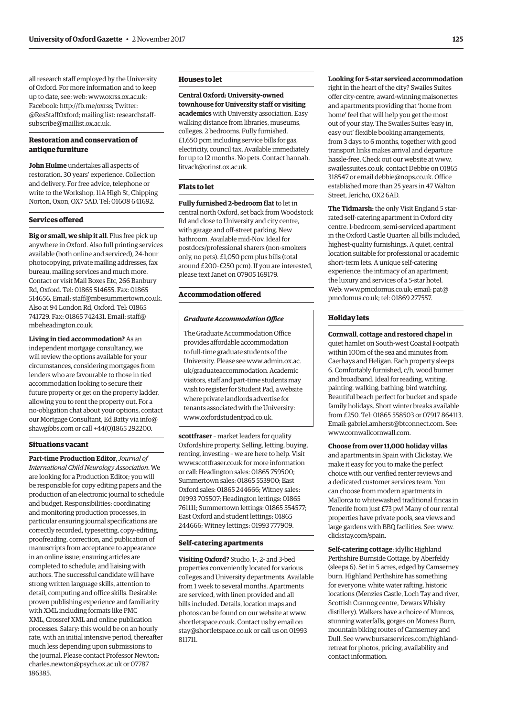all research staff employed by the University of Oxford. For more information and to keep up to date, see: web: [www.oxrss.ox.ac.uk;](http://www.oxrss.ox.ac.uk)  Facebook: [http://fb.me/oxrss; Tw](http://fb.me/oxrss)itter: @ResStaffOxford; [mailing list: researchstaff](mailto:researchstaff-subscribe@mailllist.ox.ac.uk)subscribe@maillist.ox.ac.uk.

# **Restoration and conservation of antique furniture**

**John Hulme** undertakes all aspects of restoration. 30 years' experience. Collection and delivery. For free advice, telephone or write to the Workshop, 11A High St, Chipping Norton, Oxon, OX7 5AD. Tel: 01608 641692.

# **Services ofered**

**Big or small, we ship it all**. Plus free pick up anywhere in Oxford. Also full printing services available (both online and serviced), 24-hour photocopying, private mailing addresses, fax bureau, mailing services and much more. Contact or visit Mail Boxes Etc, 266 Banbury Rd, Oxford. Tel: 01865 514655. Fax: 01865 514656. Email: [staff@mbesummertown.co.uk.](mailto:staff@mbesummertown.co.uk)  Also at 94 London Rd, Oxford. Tel: 01865 [741729. Fax: 01865 742431. Email: staff@](mailto:staff@mbeheadington.co.uk)  mbeheadington.co.uk.

**Living in tied accommodation?** As an independent mortgage consultancy, we will review the options available for your circumstances, considering mortgages from lenders who are favourable to those in tied accommodation looking to secure their future property or get on the property ladder, allowing you to rent the property out. For a no-obligation chat about your options, contact [our Mortgage Consultant, Ed Batty via info@](mailto:info@shawgibbs.com)  shawgibbs.com or call +44(0)1865 292200.

# **Situations vacant**

**Part-time Production Editor**, *Journal of International Child Neurology Association*. We are looking for a Production Editor; you will be responsible for copy editing papers and the production of an electronic journal to schedule and budget. Responsibilities: coordinating and monitoring production processes, in particular ensuring journal specifications are correctly recorded, typesetting, copy-editing, proofreading, correction, and publication of manuscripts from acceptance to appearance in an online issue; ensuring articles are completed to schedule; and liaising with authors. The successful candidate will have strong written language skills, attention to detail, computing and office skills. Desirable: proven publishing experience and familiarity with XML including formats like PMC XML, Crossref XML and online publication processes. Salary: this would be on an hourly rate, with an initial intensive period, thereafter much less depending upon submissions to the journal. Please contact Professor Newton: [charles.newton@psych.ox.ac.uk or](mailto:charles.newton@psych.ox.ac.uk) 07787 186385.

# **Houses to let**

**Central Oxford: University-owned townhouse for University staff or visiting academics** with University association. Easy walking distance from libraries, museums, colleges. 2 bedrooms. Fully furnished. £1,650 pcm including service bills for gas, electricity, council tax. Available immediately [for up to 12 months. No pets. Contact hannah.](mailto:hannah.litvack@orinst.ox.ac.uk)  litvack@orinst.ox.ac.uk.

# **Flats to let**

**Fully furnished 2-bedroom flat** to let in central north Oxford, set back from Woodstock Rd and close to University and city centre, with garage and off-street parking. New bathroom. Available mid-Nov. Ideal for postdocs/professional sharers (non-smokers only, no pets). £1,050 pcm plus bills (total around £200–£250 pcm). If you are interested, please text Janet on 07905 169179.

# **Accommodation ofered**

# **Graduate Accommodation Office**

The Graduate Accommodation Office provides affordable accommodation to full-time graduate students of the [University. Please see www.admin.ox.ac.](www.admin.ox.ac.uk/graduateaccommodation)  uk/graduateaccommodation. Academic visitors, staff and part-time students may wish to register for Student Pad, a website where private landlords advertise for tenants associated with the University: [www.oxfordstudentpad.co.uk.](http://www.oxfordstudentpad.co.uk) 

**scottfraser** – market leaders for quality Oxfordshire property. Selling, letting, buying, renting, investing – we are here to help. Visit [www.scottfraser.co.uk fo](http://www.scottfraser.co.uk)r more information or call: Headington sales: 01865 759500; Summertown sales: 01865 553900; East Oxford sales: 01865 244666; Witney sales: 01993 705507; Headington lettings: 01865 761111; Summertown lettings: 01865 554577; East Oxford and student lettings: 01865 244666; Witney lettings: 01993 777909.

## **Self-catering apartments**

**Visiting Oxford?** Studio, 1-, 2- and 3-bed properties conveniently located for various colleges and University departments. Available from 1 week to several months. Apartments are serviced, with linen provided and all bills included. Details, location maps and photos can be found on our website at [www.](http://www.shortletspace.co.uk)  [shortletspace.co.uk. Co](http://www.shortletspace.co.uk)ntact us by email on [stay@shortletspace.co.uk or](mailto:stay@shortletspace.co.uk) call us on 01993 811711.

# **Looking for 5-star serviced accommodation**

right in the heart of the city? Swailes Suites offer city-centre, award-winning maisonettes and apartments providing that 'home from home' feel that will help you get the most out of your stay. The Swailes Suites 'easy in, easy out' flexible booking arrangements, from 3 days to 6 months, together with good transport links makes arrival and departure hassle-free. Check out our website at [www.](http://www.swailessuites.co.uk)  [swailessuites.co.uk, co](http://www.swailessuites.co.uk)ntact Debbie on 01865 318547 or email [debbie@nops.co.uk. Of](mailto:debbie@nops.co.uk)fice established more than 25 years in 47 Walton Street, Jericho, OX2 6AD.

**The Tidmarsh:** the only Visit England 5 starrated self-catering apartment in Oxford city centre. 1-bedroom, semi-serviced apartment in the Oxford Castle Quarter: all bills included, highest-quality furnishings. A quiet, central location suitable for professional or academic short-term lets. A unique self-catering experience: the intimacy of an apartment; the luxury and services of a 5-star hotel. Web: [www.pmcdomus.co.uk; em](http://www.pmcdomus.co.uk)ail: pat@ [pmcdomus.co.uk; tel: 0](mailto:pat@pmcdomus.co.uk)1869 277557.

# **Holiday lets**

**Cornwall**, **cottage and restored chapel** in quiet hamlet on South-west Coastal Footpath within 100m of the sea and minutes from Caerhays and Heligan. Each property sleeps 6. Comfortably furnished, c/h, wood burner and broadband. Ideal for reading, writing, painting, walking, bathing, bird watching. Beautiful beach perfect for bucket and spade family holidays. Short winter breaks available from £250. Tel: 01865 558503 or 07917 864113. Email: [gabriel.amherst@btconnect.com. Se](mailto:gabriel.amherst@btconnect.com)e: [www.cornwallcornwall.com.](http://www.cornwallcornwall.com) 

**Choose from over 11,000 holiday villas**  and apartments in Spain with Clickstay. We make it easy for you to make the perfect choice with our verified renter reviews and a dedicated customer services team. You can choose from modern apartments in Mallorca to whitewashed traditional fincas in Tenerife from just £73 pw! Many of our rental properties have private pools, sea views and large gardens with BBQ facilities. See: [www.](http://www.clickstay.com/spain)  [clickstay.com/spain.](http://www.clickstay.com/spain) 

**Self-catering cottage**: idyllic Highland Perthshire Burnside Cottage, by Aberfeldy (sleeps 6). Set in 5 acres, edged by Camserney burn. Highland Perthshire has something for everyone: white water rafting, historic locations (Menzies Castle, Loch Tay and river, Scottish Crannog centre, Dewars Whisky distillery). Walkers have a choice of Munros, stunning waterfalls, gorges on Moness Burn, mountain biking routes of Camserney and [Dull. See www.bursarservices.com/highland](www.bursarservices.com/highland-retreat)retreat for photos, pricing, availability and contact information.